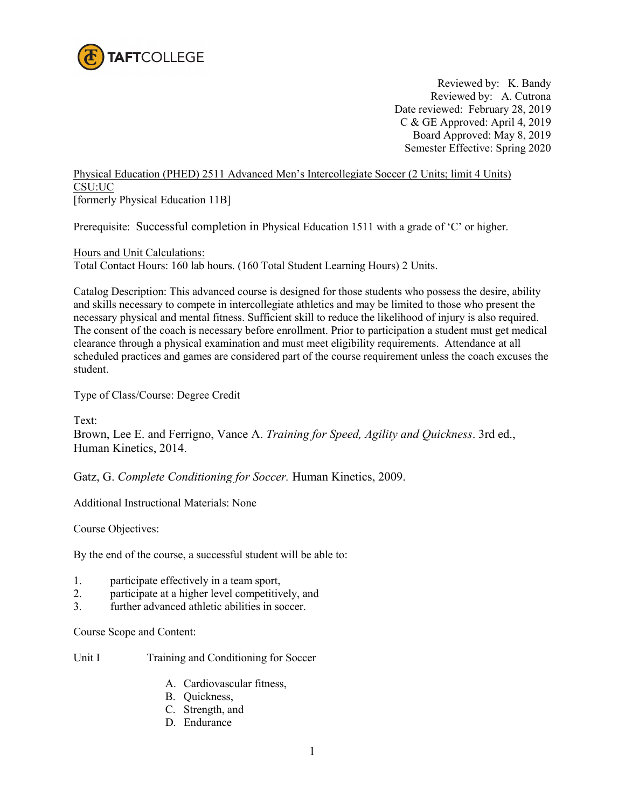

Reviewed by: K. Bandy Reviewed by: A. Cutrona Date reviewed: February 28, 2019 C & GE Approved: April 4, 2019 Board Approved: May 8, 2019 Semester Effective: Spring 2020

Physical Education (PHED) 2511 Advanced Men's Intercollegiate Soccer (2 Units; limit 4 Units) CSU:UC [formerly Physical Education 11B]

Prerequisite: Successful completion in Physical Education 1511 with a grade of 'C' or higher.

Hours and Unit Calculations: Total Contact Hours: 160 lab hours. (160 Total Student Learning Hours) 2 Units.

Catalog Description: This advanced course is designed for those students who possess the desire, ability and skills necessary to compete in intercollegiate athletics and may be limited to those who present the necessary physical and mental fitness. Sufficient skill to reduce the likelihood of injury is also required. The consent of the coach is necessary before enrollment. Prior to participation a student must get medical clearance through a physical examination and must meet eligibility requirements. Attendance at all scheduled practices and games are considered part of the course requirement unless the coach excuses the student.

Type of Class/Course: Degree Credit

Text:

Brown, Lee E. and Ferrigno, Vance A. *Training for Speed, Agility and Quickness*. 3rd ed., Human Kinetics, 2014.

Gatz, G. *Complete Conditioning for Soccer.* Human Kinetics, 2009.

Additional Instructional Materials: None

Course Objectives:

By the end of the course, a successful student will be able to:

- 1. participate effectively in a team sport,
- 2. participate at a higher level competitively, and
- 3. further advanced athletic abilities in soccer.

Course Scope and Content:

Unit I Training and Conditioning for Soccer

- A. Cardiovascular fitness,
- B. Quickness,
- C. Strength, and
- D. Endurance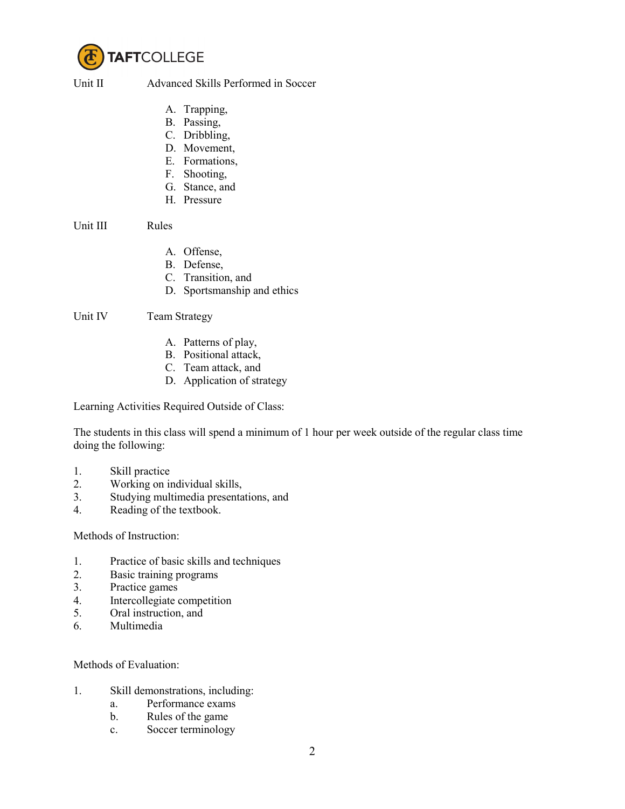

Unit II Advanced Skills Performed in Soccer

- A. Trapping,
- B. Passing,
- C. Dribbling,
- D. Movement,
- E. Formations,
- F. Shooting,
- G. Stance, and
- H. Pressure

Unit III Rules

- A. Offense,
- B. Defense,
- C. Transition, and
- D. Sportsmanship and ethics

Unit IV Team Strategy

- A. Patterns of play,
- B. Positional attack,
- C. Team attack, and
- D. Application of strategy

Learning Activities Required Outside of Class:

The students in this class will spend a minimum of 1 hour per week outside of the regular class time doing the following:

- 1. Skill practice
- 2. Working on individual skills,
- 3. Studying multimedia presentations, and
- 4. Reading of the textbook.

Methods of Instruction:

- 1. Practice of basic skills and techniques
- 2. Basic training programs
- 3. Practice games
- 4. Intercollegiate competition
- 5. Oral instruction, and
- 6. Multimedia

## Methods of Evaluation:

- 1. Skill demonstrations, including:
	- a. Performance exams
	- b. Rules of the game
	- c. Soccer terminology